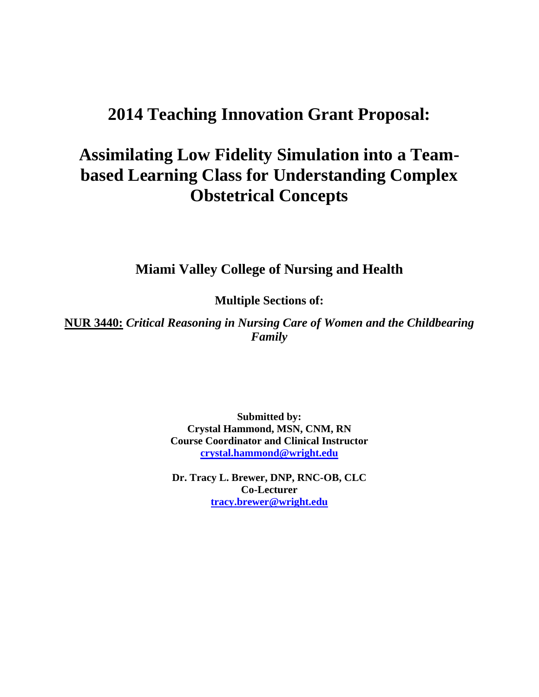## **2014 Teaching Innovation Grant Proposal:**

# **Assimilating Low Fidelity Simulation into a Teambased Learning Class for Understanding Complex Obstetrical Concepts**

**Miami Valley College of Nursing and Health** 

**Multiple Sections of:** 

**NUR 3440:** *Critical Reasoning in Nursing Care of Women and the Childbearing Family* 

> **Submitted by: Crystal Hammond, MSN, CNM, RN Course Coordinator and Clinical Instructor crystal.hammond@wright.edu**

> **Dr. Tracy L. Brewer, DNP, RNC-OB, CLC Co-Lecturer tracy.brewer@wright.edu**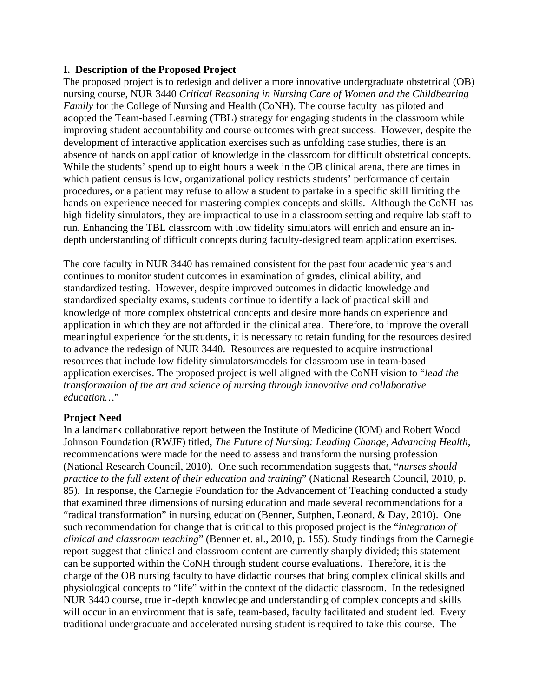#### **I. Description of the Proposed Project**

The proposed project is to redesign and deliver a more innovative undergraduate obstetrical (OB) nursing course, NUR 3440 *Critical Reasoning in Nursing Care of Women and the Childbearing Family* for the College of Nursing and Health (CoNH). The course faculty has piloted and adopted the Team-based Learning (TBL) strategy for engaging students in the classroom while improving student accountability and course outcomes with great success. However, despite the development of interactive application exercises such as unfolding case studies, there is an absence of hands on application of knowledge in the classroom for difficult obstetrical concepts. While the students' spend up to eight hours a week in the OB clinical arena, there are times in which patient census is low, organizational policy restricts students' performance of certain procedures, or a patient may refuse to allow a student to partake in a specific skill limiting the hands on experience needed for mastering complex concepts and skills. Although the CoNH has high fidelity simulators, they are impractical to use in a classroom setting and require lab staff to run. Enhancing the TBL classroom with low fidelity simulators will enrich and ensure an indepth understanding of difficult concepts during faculty-designed team application exercises.

The core faculty in NUR 3440 has remained consistent for the past four academic years and continues to monitor student outcomes in examination of grades, clinical ability, and standardized testing. However, despite improved outcomes in didactic knowledge and standardized specialty exams, students continue to identify a lack of practical skill and knowledge of more complex obstetrical concepts and desire more hands on experience and application in which they are not afforded in the clinical area. Therefore, to improve the overall meaningful experience for the students, it is necessary to retain funding for the resources desired to advance the redesign of NUR 3440. Resources are requested to acquire instructional resources that include low fidelity simulators/models for classroom use in team-based application exercises. The proposed project is well aligned with the CoNH vision to "*lead the transformation of the art and science of nursing through innovative and collaborative education…*"

#### **Project Need**

In a landmark collaborative report between the Institute of Medicine (IOM) and Robert Wood Johnson Foundation (RWJF) titled, *The Future of Nursing: Leading Change, Advancing Health,*  recommendations were made for the need to assess and transform the nursing profession (National Research Council, 2010). One such recommendation suggests that, "*nurses should practice to the full extent of their education and training*" (National Research Council, 2010, p. 85). In response, the Carnegie Foundation for the Advancement of Teaching conducted a study that examined three dimensions of nursing education and made several recommendations for a "radical transformation" in nursing education (Benner, Sutphen, Leonard, & Day, 2010). One such recommendation for change that is critical to this proposed project is the "*integration of clinical and classroom teaching*" (Benner et. al., 2010, p. 155). Study findings from the Carnegie report suggest that clinical and classroom content are currently sharply divided; this statement can be supported within the CoNH through student course evaluations. Therefore, it is the charge of the OB nursing faculty to have didactic courses that bring complex clinical skills and physiological concepts to "life" within the context of the didactic classroom. In the redesigned NUR 3440 course, true in-depth knowledge and understanding of complex concepts and skills will occur in an environment that is safe, team-based, faculty facilitated and student led. Every traditional undergraduate and accelerated nursing student is required to take this course. The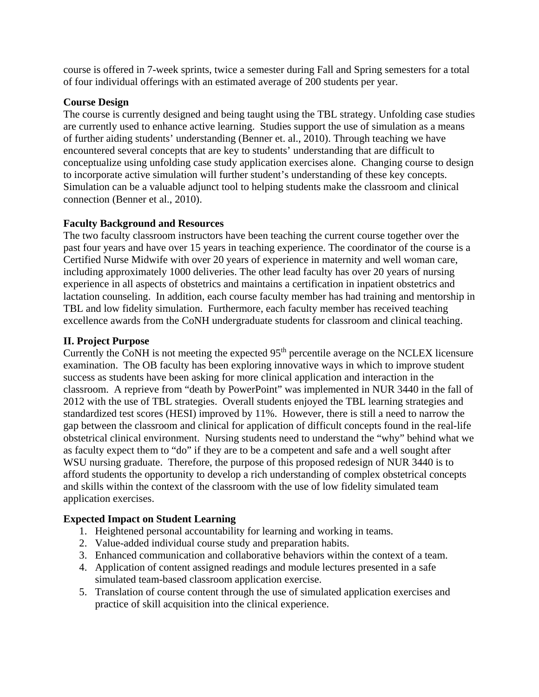course is offered in 7-week sprints, twice a semester during Fall and Spring semesters for a total of four individual offerings with an estimated average of 200 students per year.

#### **Course Design**

The course is currently designed and being taught using the TBL strategy. Unfolding case studies are currently used to enhance active learning. Studies support the use of simulation as a means of further aiding students' understanding (Benner et. al., 2010). Through teaching we have encountered several concepts that are key to students' understanding that are difficult to conceptualize using unfolding case study application exercises alone. Changing course to design to incorporate active simulation will further student's understanding of these key concepts. Simulation can be a valuable adjunct tool to helping students make the classroom and clinical connection (Benner et al., 2010).

#### **Faculty Background and Resources**

The two faculty classroom instructors have been teaching the current course together over the past four years and have over 15 years in teaching experience. The coordinator of the course is a Certified Nurse Midwife with over 20 years of experience in maternity and well woman care, including approximately 1000 deliveries. The other lead faculty has over 20 years of nursing experience in all aspects of obstetrics and maintains a certification in inpatient obstetrics and lactation counseling. In addition, each course faculty member has had training and mentorship in TBL and low fidelity simulation. Furthermore, each faculty member has received teaching excellence awards from the CoNH undergraduate students for classroom and clinical teaching.

## **II. Project Purpose**

Currently the CoNH is not meeting the expected  $95<sup>th</sup>$  percentile average on the NCLEX licensure examination. The OB faculty has been exploring innovative ways in which to improve student success as students have been asking for more clinical application and interaction in the classroom. A reprieve from "death by PowerPoint" was implemented in NUR 3440 in the fall of 2012 with the use of TBL strategies. Overall students enjoyed the TBL learning strategies and standardized test scores (HESI) improved by 11%. However, there is still a need to narrow the gap between the classroom and clinical for application of difficult concepts found in the real-life obstetrical clinical environment. Nursing students need to understand the "why" behind what we as faculty expect them to "do" if they are to be a competent and safe and a well sought after WSU nursing graduate. Therefore, the purpose of this proposed redesign of NUR 3440 is to afford students the opportunity to develop a rich understanding of complex obstetrical concepts and skills within the context of the classroom with the use of low fidelity simulated team application exercises.

## **Expected Impact on Student Learning**

- 1. Heightened personal accountability for learning and working in teams.
- 2. Value-added individual course study and preparation habits.
- 3. Enhanced communication and collaborative behaviors within the context of a team.
- 4. Application of content assigned readings and module lectures presented in a safe simulated team-based classroom application exercise.
- 5. Translation of course content through the use of simulated application exercises and practice of skill acquisition into the clinical experience.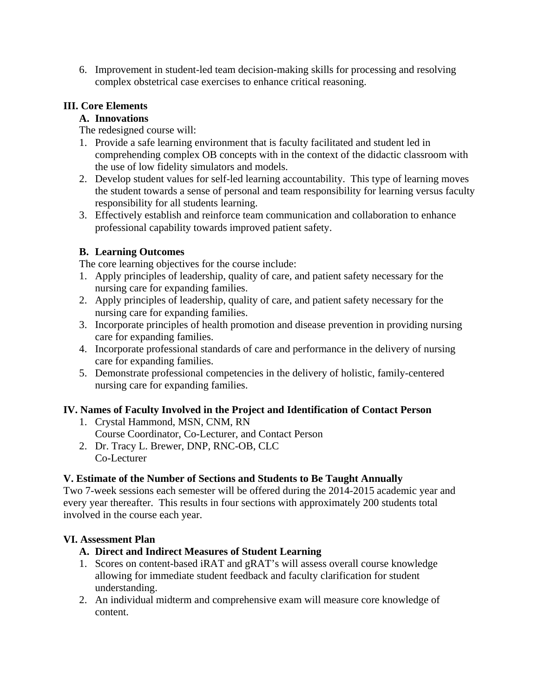6. Improvement in student-led team decision-making skills for processing and resolving complex obstetrical case exercises to enhance critical reasoning.

## **III. Core Elements**

## **A. Innovations**

The redesigned course will:

- 1. Provide a safe learning environment that is faculty facilitated and student led in comprehending complex OB concepts with in the context of the didactic classroom with the use of low fidelity simulators and models.
- 2. Develop student values for self-led learning accountability. This type of learning moves the student towards a sense of personal and team responsibility for learning versus faculty responsibility for all students learning.
- 3. Effectively establish and reinforce team communication and collaboration to enhance professional capability towards improved patient safety.

## **B. Learning Outcomes**

The core learning objectives for the course include:

- 1. Apply principles of leadership, quality of care, and patient safety necessary for the nursing care for expanding families.
- 2. Apply principles of leadership, quality of care, and patient safety necessary for the nursing care for expanding families.
- 3. Incorporate principles of health promotion and disease prevention in providing nursing care for expanding families.
- 4. Incorporate professional standards of care and performance in the delivery of nursing care for expanding families.
- 5. Demonstrate professional competencies in the delivery of holistic, family-centered nursing care for expanding families.

## **IV. Names of Faculty Involved in the Project and Identification of Contact Person**

- 1. Crystal Hammond, MSN, CNM, RN
- Course Coordinator, Co-Lecturer, and Contact Person
- 2. Dr. Tracy L. Brewer, DNP, RNC-OB, CLC Co-Lecturer

## **V. Estimate of the Number of Sections and Students to Be Taught Annually**

Two 7-week sessions each semester will be offered during the 2014-2015 academic year and every year thereafter. This results in four sections with approximately 200 students total involved in the course each year.

## **VI. Assessment Plan**

## **A. Direct and Indirect Measures of Student Learning**

- 1. Scores on content-based iRAT and gRAT's will assess overall course knowledge allowing for immediate student feedback and faculty clarification for student understanding.
- 2. An individual midterm and comprehensive exam will measure core knowledge of content.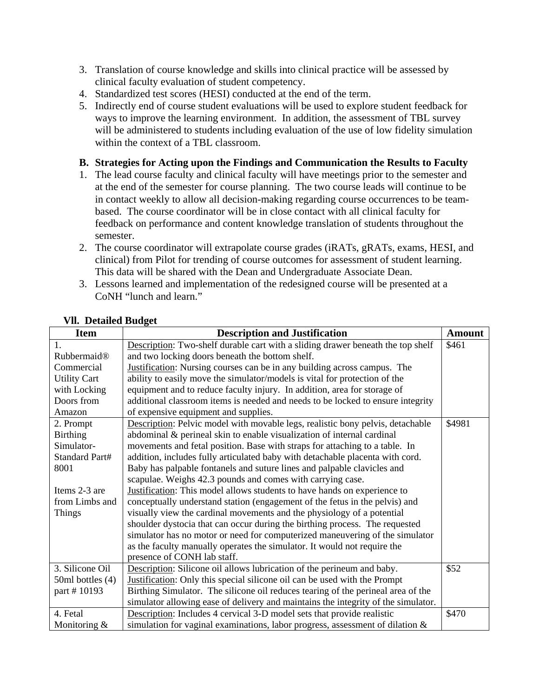- 3. Translation of course knowledge and skills into clinical practice will be assessed by clinical faculty evaluation of student competency.
- 4. Standardized test scores (HESI) conducted at the end of the term.
- 5. Indirectly end of course student evaluations will be used to explore student feedback for ways to improve the learning environment. In addition, the assessment of TBL survey will be administered to students including evaluation of the use of low fidelity simulation within the context of a TBL classroom.

## **B. Strategies for Acting upon the Findings and Communication the Results to Faculty**

- 1. The lead course faculty and clinical faculty will have meetings prior to the semester and at the end of the semester for course planning. The two course leads will continue to be in contact weekly to allow all decision-making regarding course occurrences to be teambased. The course coordinator will be in close contact with all clinical faculty for feedback on performance and content knowledge translation of students throughout the semester.
- 2. The course coordinator will extrapolate course grades (iRATs, gRATs, exams, HESI, and clinical) from Pilot for trending of course outcomes for assessment of student learning. This data will be shared with the Dean and Undergraduate Associate Dean.
- 3. Lessons learned and implementation of the redesigned course will be presented at a CoNH "lunch and learn."

| <b>Item</b>             | <b>Description and Justification</b>                                              | <b>Amount</b> |
|-------------------------|-----------------------------------------------------------------------------------|---------------|
| 1.                      | Description: Two-shelf durable cart with a sliding drawer beneath the top shelf   | \$461         |
| Rubbermaid <sup>®</sup> | and two locking doors beneath the bottom shelf.                                   |               |
| Commercial              | <b>Justification:</b> Nursing courses can be in any building across campus. The   |               |
| <b>Utility Cart</b>     | ability to easily move the simulator/models is vital for protection of the        |               |
| with Locking            | equipment and to reduce faculty injury. In addition, area for storage of          |               |
| Doors from              | additional classroom items is needed and needs to be locked to ensure integrity   |               |
| Amazon                  | of expensive equipment and supplies.                                              |               |
| 2. Prompt               | Description: Pelvic model with movable legs, realistic bony pelvis, detachable    | \$4981        |
| <b>Birthing</b>         | abdominal & perineal skin to enable visualization of internal cardinal            |               |
| Simulator-              | movements and fetal position. Base with straps for attaching to a table. In       |               |
| Standard Part#          | addition, includes fully articulated baby with detachable placenta with cord.     |               |
| 8001                    | Baby has palpable fontanels and suture lines and palpable clavicles and           |               |
|                         | scapulae. Weighs 42.3 pounds and comes with carrying case.                        |               |
| Items 2-3 are           | <b>Justification:</b> This model allows students to have hands on experience to   |               |
| from Limbs and          | conceptually understand station (engagement of the fetus in the pelvis) and       |               |
| <b>Things</b>           | visually view the cardinal movements and the physiology of a potential            |               |
|                         | shoulder dystocia that can occur during the birthing process. The requested       |               |
|                         | simulator has no motor or need for computerized maneuvering of the simulator      |               |
|                         | as the faculty manually operates the simulator. It would not require the          |               |
|                         | presence of CONH lab staff.                                                       |               |
| 3. Silicone Oil         | Description: Silicone oil allows lubrication of the perineum and baby.            | \$52          |
| 50ml bottles (4)        | Justification: Only this special silicone oil can be used with the Prompt         |               |
| part #10193             | Birthing Simulator. The silicone oil reduces tearing of the perineal area of the  |               |
|                         | simulator allowing ease of delivery and maintains the integrity of the simulator. |               |
| 4. Fetal                | Description: Includes 4 cervical 3-D model sets that provide realistic            | \$470         |
| Monitoring $&$          | simulation for vaginal examinations, labor progress, assessment of dilation $\&$  |               |

#### **Vll. Detailed Budget**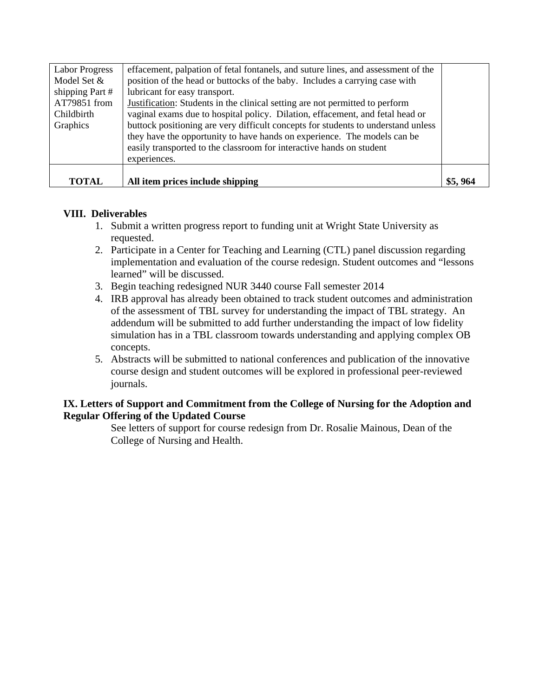| <b>Labor Progress</b><br>Model Set &<br>shipping Part #<br>AT79851 from<br>Childbirth<br>Graphics | effacement, palpation of fetal fontanels, and suture lines, and assessment of the<br>position of the head or buttocks of the baby. Includes a carrying case with<br>lubricant for easy transport.<br>Justification: Students in the clinical setting are not permitted to perform<br>vaginal exams due to hospital policy. Dilation, effacement, and fetal head or<br>buttock positioning are very difficult concepts for students to understand unless<br>they have the opportunity to have hands on experience. The models can be<br>easily transported to the classroom for interactive hands on student<br>experiences. |         |
|---------------------------------------------------------------------------------------------------|-----------------------------------------------------------------------------------------------------------------------------------------------------------------------------------------------------------------------------------------------------------------------------------------------------------------------------------------------------------------------------------------------------------------------------------------------------------------------------------------------------------------------------------------------------------------------------------------------------------------------------|---------|
|                                                                                                   |                                                                                                                                                                                                                                                                                                                                                                                                                                                                                                                                                                                                                             |         |
| <b>TOTAL</b>                                                                                      | All item prices include shipping                                                                                                                                                                                                                                                                                                                                                                                                                                                                                                                                                                                            | \$5,964 |

## **VIII. Deliverables**

- 1. Submit a written progress report to funding unit at Wright State University as requested.
- 2. Participate in a Center for Teaching and Learning (CTL) panel discussion regarding implementation and evaluation of the course redesign. Student outcomes and "lessons learned" will be discussed.
- 3. Begin teaching redesigned NUR 3440 course Fall semester 2014
- 4. IRB approval has already been obtained to track student outcomes and administration of the assessment of TBL survey for understanding the impact of TBL strategy. An addendum will be submitted to add further understanding the impact of low fidelity simulation has in a TBL classroom towards understanding and applying complex OB concepts.
- 5. Abstracts will be submitted to national conferences and publication of the innovative course design and student outcomes will be explored in professional peer-reviewed journals.

## **IX. Letters of Support and Commitment from the College of Nursing for the Adoption and Regular Offering of the Updated Course**

See letters of support for course redesign from Dr. Rosalie Mainous, Dean of the College of Nursing and Health.